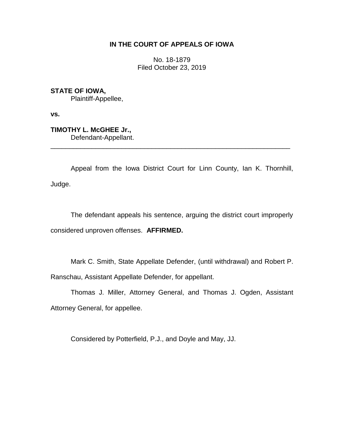## **IN THE COURT OF APPEALS OF IOWA**

No. 18-1879 Filed October 23, 2019

**STATE OF IOWA,** Plaintiff-Appellee,

**vs.**

**TIMOTHY L. McGHEE Jr.,** Defendant-Appellant.

Appeal from the Iowa District Court for Linn County, Ian K. Thornhill, Judge.

\_\_\_\_\_\_\_\_\_\_\_\_\_\_\_\_\_\_\_\_\_\_\_\_\_\_\_\_\_\_\_\_\_\_\_\_\_\_\_\_\_\_\_\_\_\_\_\_\_\_\_\_\_\_\_\_\_\_\_\_\_\_\_\_

The defendant appeals his sentence, arguing the district court improperly considered unproven offenses. **AFFIRMED.**

Mark C. Smith, State Appellate Defender, (until withdrawal) and Robert P. Ranschau, Assistant Appellate Defender, for appellant.

Thomas J. Miller, Attorney General, and Thomas J. Ogden, Assistant Attorney General, for appellee.

Considered by Potterfield, P.J., and Doyle and May, JJ.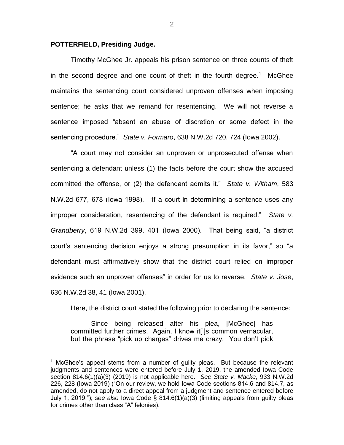## **POTTERFIELD, Presiding Judge.**

 $\overline{a}$ 

Timothy McGhee Jr. appeals his prison sentence on three counts of theft in the second degree and one count of theft in the fourth degree.<sup>1</sup> McGhee maintains the sentencing court considered unproven offenses when imposing sentence; he asks that we remand for resentencing. We will not reverse a sentence imposed "absent an abuse of discretion or some defect in the sentencing procedure." *State v. Formaro*, 638 N.W.2d 720, 724 (Iowa 2002).

"A court may not consider an unproven or unprosecuted offense when sentencing a defendant unless (1) the facts before the court show the accused committed the offense, or (2) the defendant admits it." *State v. Witham*, 583 N.W.2d 677, 678 (Iowa 1998). "If a court in determining a sentence uses any improper consideration, resentencing of the defendant is required." *State v. Grandberry*, 619 N.W.2d 399, 401 (Iowa 2000). That being said, "a district court's sentencing decision enjoys a strong presumption in its favor," so "a defendant must affirmatively show that the district court relied on improper evidence such an unproven offenses" in order for us to reverse. *State v. Jose*, 636 N.W.2d 38, 41 (Iowa 2001).

Here, the district court stated the following prior to declaring the sentence:

Since being released after his plea, [McGhee] has committed further crimes. Again, I know it[']s common vernacular, but the phrase "pick up charges" drives me crazy. You don't pick

2

 $1$  McGhee's appeal stems from a number of quilty pleas. But because the relevant judgments and sentences were entered before July 1, 2019, the amended Iowa Code section 814.6(1)(a)(3) (2019) is not applicable here. *See State v. Macke*, 933 N.W.2d 226, 228 (Iowa 2019) ("On our review, we hold Iowa Code sections 814.6 and [814.7,](https://1.next.westlaw.com/Link/Document/FullText?findType=L&pubNum=1000256&cite=IASTS814.7&originatingDoc=I4068a950d64111e9aec88be692101305&refType=LQ&originationContext=document&transitionType=DocumentItem&contextData=(sc.Search)) as amended, do not apply to a direct appeal from a judgment and sentence entered before July 1, 2019."); *see also* Iowa Code § 814.6(1)(a)(3) (limiting appeals from guilty pleas for crimes other than class "A" felonies).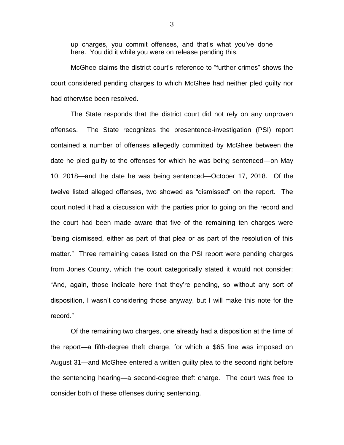up charges, you commit offenses, and that's what you've done here. You did it while you were on release pending this.

McGhee claims the district court's reference to "further crimes" shows the court considered pending charges to which McGhee had neither pled guilty nor had otherwise been resolved.

The State responds that the district court did not rely on any unproven offenses. The State recognizes the presentence-investigation (PSI) report contained a number of offenses allegedly committed by McGhee between the date he pled guilty to the offenses for which he was being sentenced—on May 10, 2018—and the date he was being sentenced—October 17, 2018. Of the twelve listed alleged offenses, two showed as "dismissed" on the report. The court noted it had a discussion with the parties prior to going on the record and the court had been made aware that five of the remaining ten charges were "being dismissed, either as part of that plea or as part of the resolution of this matter." Three remaining cases listed on the PSI report were pending charges from Jones County, which the court categorically stated it would not consider: "And, again, those indicate here that they're pending, so without any sort of disposition, I wasn't considering those anyway, but I will make this note for the record."

Of the remaining two charges, one already had a disposition at the time of the report—a fifth-degree theft charge, for which a \$65 fine was imposed on August 31—and McGhee entered a written guilty plea to the second right before the sentencing hearing—a second-degree theft charge. The court was free to consider both of these offenses during sentencing.